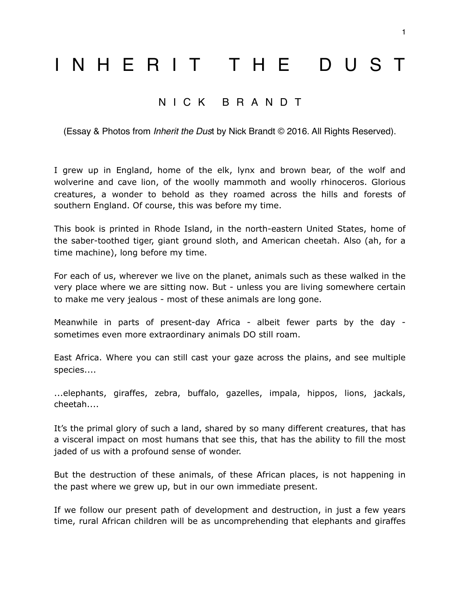## INHERIT THE DUST

## NICK BRANDT

(Essay & Photos from *Inherit the Dus*t by Nick Brandt © 2016. All Rights Reserved).

I grew up in England, home of the elk, lynx and brown bear, of the wolf and wolverine and cave lion, of the woolly mammoth and woolly rhinoceros. Glorious creatures, a wonder to behold as they roamed across the hills and forests of southern England. Of course, this was before my time.

This book is printed in Rhode Island, in the north-eastern United States, home of the saber-toothed tiger, giant ground sloth, and American cheetah. Also (ah, for a time machine), long before my time.

For each of us, wherever we live on the planet, animals such as these walked in the very place where we are sitting now. But - unless you are living somewhere certain to make me very jealous - most of these animals are long gone.

Meanwhile in parts of present-day Africa - albeit fewer parts by the day sometimes even more extraordinary animals DO still roam.

East Africa. Where you can still cast your gaze across the plains, and see multiple species....

...elephants, giraffes, zebra, buffalo, gazelles, impala, hippos, lions, jackals, cheetah....

It's the primal glory of such a land, shared by so many different creatures, that has a visceral impact on most humans that see this, that has the ability to fill the most jaded of us with a profound sense of wonder.

But the destruction of these animals, of these African places, is not happening in the past where we grew up, but in our own immediate present.

If we follow our present path of development and destruction, in just a few years time, rural African children will be as uncomprehending that elephants and giraffes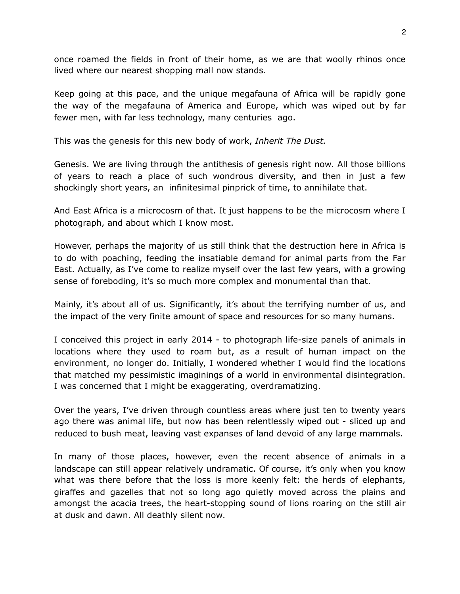once roamed the fields in front of their home, as we are that woolly rhinos once lived where our nearest shopping mall now stands.

Keep going at this pace, and the unique megafauna of Africa will be rapidly gone the way of the megafauna of America and Europe, which was wiped out by far fewer men, with far less technology, many centuries ago.

This was the genesis for this new body of work, *Inherit The Dust.*

Genesis. We are living through the antithesis of genesis right now. All those billions of years to reach a place of such wondrous diversity, and then in just a few shockingly short years, an infinitesimal pinprick of time, to annihilate that.

And East Africa is a microcosm of that. It just happens to be the microcosm where I photograph, and about which I know most.

However, perhaps the majority of us still think that the destruction here in Africa is to do with poaching, feeding the insatiable demand for animal parts from the Far East. Actually, as I've come to realize myself over the last few years, with a growing sense of foreboding, it's so much more complex and monumental than that.

Mainly, it's about all of us. Significantly, it's about the terrifying number of us, and the impact of the very finite amount of space and resources for so many humans.

I conceived this project in early 2014 - to photograph life-size panels of animals in locations where they used to roam but, as a result of human impact on the environment, no longer do. Initially, I wondered whether I would find the locations that matched my pessimistic imaginings of a world in environmental disintegration. I was concerned that I might be exaggerating, overdramatizing.

Over the years, I've driven through countless areas where just ten to twenty years ago there was animal life, but now has been relentlessly wiped out - sliced up and reduced to bush meat, leaving vast expanses of land devoid of any large mammals.

In many of those places, however, even the recent absence of animals in a landscape can still appear relatively undramatic. Of course, it's only when you know what was there before that the loss is more keenly felt: the herds of elephants, giraffes and gazelles that not so long ago quietly moved across the plains and amongst the acacia trees, the heart-stopping sound of lions roaring on the still air at dusk and dawn. All deathly silent now.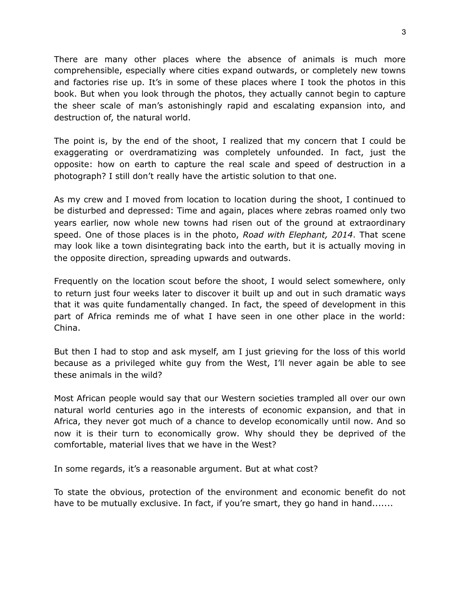There are many other places where the absence of animals is much more comprehensible, especially where cities expand outwards, or completely new towns and factories rise up. It's in some of these places where I took the photos in this book. But when you look through the photos, they actually cannot begin to capture the sheer scale of man's astonishingly rapid and escalating expansion into, and destruction of, the natural world.

The point is, by the end of the shoot, I realized that my concern that I could be exaggerating or overdramatizing was completely unfounded. In fact, just the opposite: how on earth to capture the real scale and speed of destruction in a photograph? I still don't really have the artistic solution to that one.

As my crew and I moved from location to location during the shoot, I continued to be disturbed and depressed: Time and again, places where zebras roamed only two years earlier, now whole new towns had risen out of the ground at extraordinary speed. One of those places is in the photo, *Road with Elephant, 2014*. That scene may look like a town disintegrating back into the earth, but it is actually moving in the opposite direction, spreading upwards and outwards.

Frequently on the location scout before the shoot, I would select somewhere, only to return just four weeks later to discover it built up and out in such dramatic ways that it was quite fundamentally changed. In fact, the speed of development in this part of Africa reminds me of what I have seen in one other place in the world: China.

But then I had to stop and ask myself, am I just grieving for the loss of this world because as a privileged white guy from the West, I'll never again be able to see these animals in the wild?

Most African people would say that our Western societies trampled all over our own natural world centuries ago in the interests of economic expansion, and that in Africa, they never got much of a chance to develop economically until now. And so now it is their turn to economically grow. Why should they be deprived of the comfortable, material lives that we have in the West?

In some regards, it's a reasonable argument. But at what cost?

To state the obvious, protection of the environment and economic benefit do not have to be mutually exclusive. In fact, if you're smart, they go hand in hand.......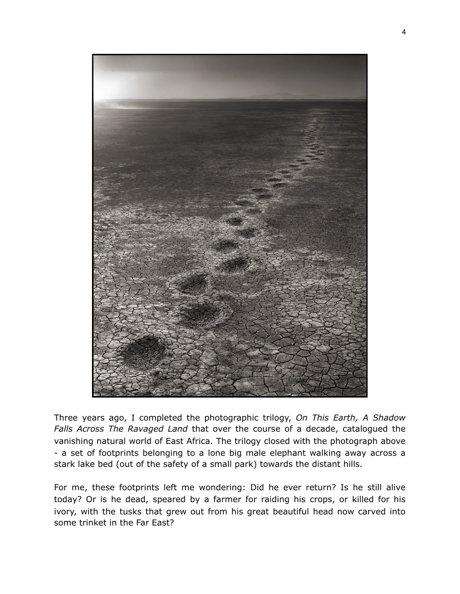

Three years ago, I completed the photographic trilogy, *On This Earth, A Shadow Falls Across The Ravaged Land* that over the course of a decade, catalogued the vanishing natural world of East Africa. The trilogy closed with the photograph above - a set of footprints belonging to a lone big male elephant walking away across a stark lake bed (out of the safety of a small park) towards the distant hills.

For me, these footprints left me wondering: Did he ever return? Is he still alive today? Or is he dead, speared by a farmer for raiding his crops, or killed for his ivory, with the tusks that grew out from his great beautiful head now carved into some trinket in the Far East?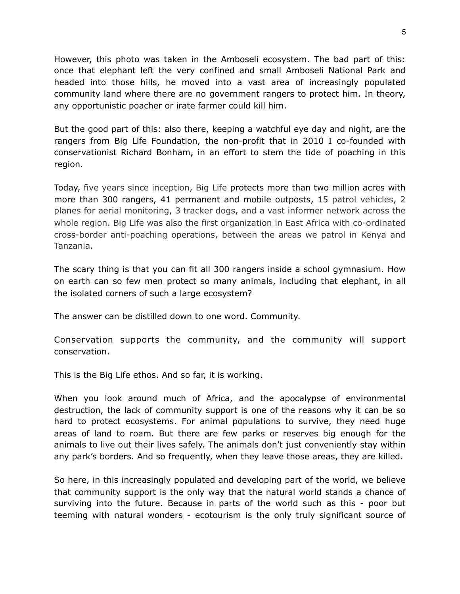However, this photo was taken in the Amboseli ecosystem. The bad part of this: once that elephant left the very confined and small Amboseli National Park and headed into those hills, he moved into a vast area of increasingly populated community land where there are no government rangers to protect him. In theory, any opportunistic poacher or irate farmer could kill him.

But the good part of this: also there, keeping a watchful eye day and night, are the rangers from Big Life Foundation, the non-profit that in 2010 I co-founded with conservationist Richard Bonham, in an effort to stem the tide of poaching in this region.

Today, five years since inception, Big Life protects more than two million acres with more than 300 rangers, 41 permanent and mobile outposts, 15 patrol vehicles, 2 planes for aerial monitoring, 3 tracker dogs, and a vast informer network across the whole region. Big Life was also the first organization in East Africa with co-ordinated cross-border anti-poaching operations, between the areas we patrol in Kenya and Tanzania.

The scary thing is that you can fit all 300 rangers inside a school gymnasium. How on earth can so few men protect so many animals, including that elephant, in all the isolated corners of such a large ecosystem?

The answer can be distilled down to one word. Community.

Conservation supports the community, and the community will support conservation.

This is the Big Life ethos. And so far, it is working.

When you look around much of Africa, and the apocalypse of environmental destruction, the lack of community support is one of the reasons why it can be so hard to protect ecosystems. For animal populations to survive, they need huge areas of land to roam. But there are few parks or reserves big enough for the animals to live out their lives safely. The animals don't just conveniently stay within any park's borders. And so frequently, when they leave those areas, they are killed.

So here, in this increasingly populated and developing part of the world, we believe that community support is the only way that the natural world stands a chance of surviving into the future. Because in parts of the world such as this - poor but teeming with natural wonders - ecotourism is the only truly significant source of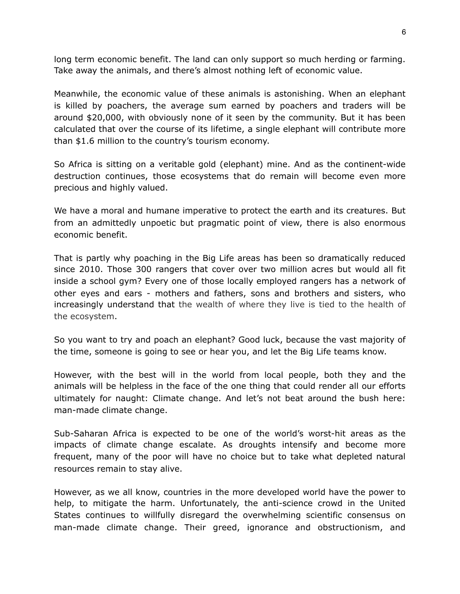long term economic benefit. The land can only support so much herding or farming. Take away the animals, and there's almost nothing left of economic value.

Meanwhile, the economic value of these animals is astonishing. When an elephant is killed by poachers, the average sum earned by poachers and traders will be around \$20,000, with obviously none of it seen by the community. But it has been calculated that over the course of its lifetime, a single elephant will contribute more than \$1.6 million to the country's tourism economy.

So Africa is sitting on a veritable gold (elephant) mine. And as the continent-wide destruction continues, those ecosystems that do remain will become even more precious and highly valued.

We have a moral and humane imperative to protect the earth and its creatures. But from an admittedly unpoetic but pragmatic point of view, there is also enormous economic benefit.

That is partly why poaching in the Big Life areas has been so dramatically reduced since 2010. Those 300 rangers that cover over two million acres but would all fit inside a school gym? Every one of those locally employed rangers has a network of other eyes and ears - mothers and fathers, sons and brothers and sisters, who increasingly understand that the wealth of where they live is tied to the health of the ecosystem.

So you want to try and poach an elephant? Good luck, because the vast majority of the time, someone is going to see or hear you, and let the Big Life teams know.

However, with the best will in the world from local people, both they and the animals will be helpless in the face of the one thing that could render all our efforts ultimately for naught: Climate change. And let's not beat around the bush here: man-made climate change.

Sub-Saharan Africa is expected to be one of the world's worst-hit areas as the impacts of climate change escalate. As droughts intensify and become more frequent, many of the poor will have no choice but to take what depleted natural resources remain to stay alive.

However, as we all know, countries in the more developed world have the power to help, to mitigate the harm. Unfortunately, the anti-science crowd in the United States continues to willfully disregard the overwhelming scientific consensus on man-made climate change. Their greed, ignorance and obstructionism, and